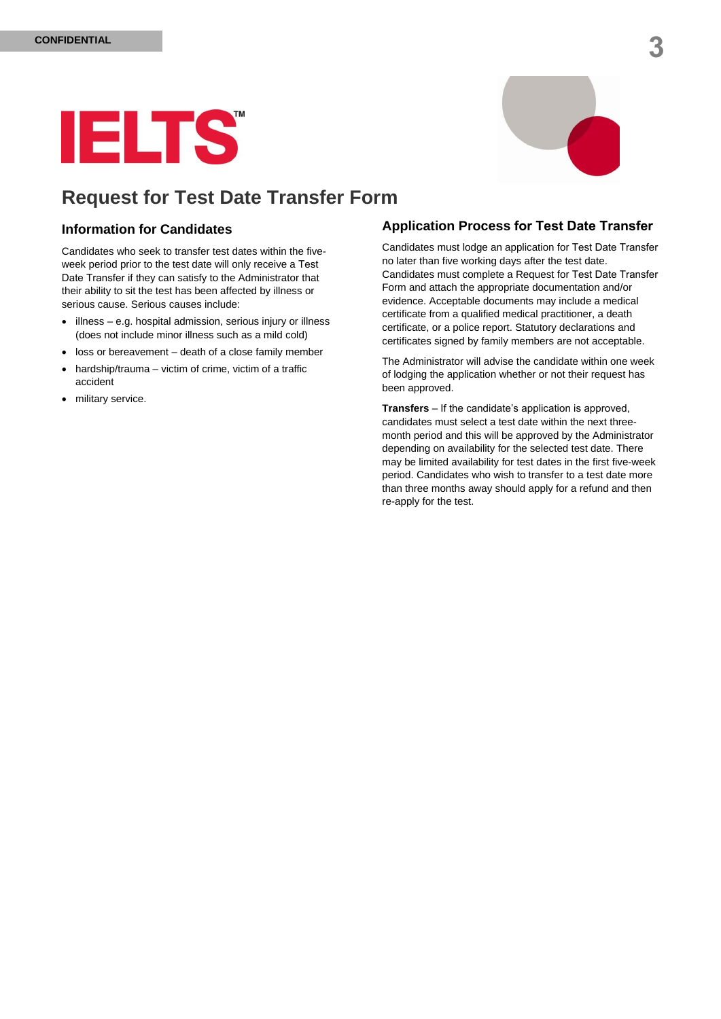

### **Request for Test Date Transfer Form**

#### **Information for Candidates**

Candidates who seek to transfer test dates within the fiveweek period prior to the test date will only receive a Test Date Transfer if they can satisfy to the Administrator that their ability to sit the test has been affected by illness or serious cause. Serious causes include:

- $\bullet$  illness e.g. hospital admission, serious injury or illness (does not include minor illness such as a mild cold)
- loss or bereavement death of a close family member
- hardship/trauma victim of crime, victim of a traffic accident
- military service.

### **Application Process for Test Date Transfer**

Candidates must lodge an application for Test Date Transfer no later than five working days after the test date. Candidates must complete a Request for Test Date Transfer Form and attach the appropriate documentation and/or evidence. Acceptable documents may include a medical certificate from a qualified medical practitioner, a death certificate, or a police report. Statutory declarations and certificates signed by family members are not acceptable.

The Administrator will advise the candidate within one week of lodging the application whether or not their request has been approved.

**Transfers** – If the candidate's application is approved, candidates must select a test date within the next threemonth period and this will be approved by the Administrator depending on availability for the selected test date. There may be limited availability for test dates in the first five-week period. Candidates who wish to transfer to a test date more than three months away should apply for a refund and then re-apply for the test.